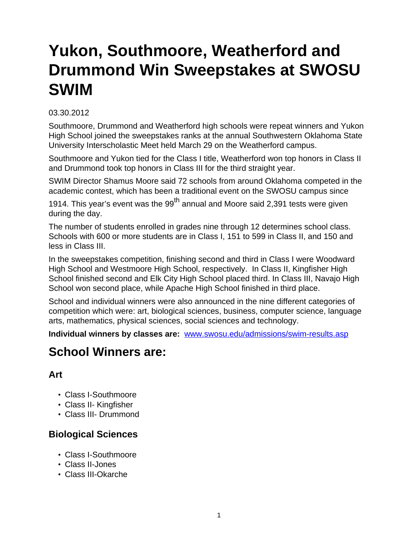# **Yukon, Southmoore, Weatherford and Drummond Win Sweepstakes at SWOSU SWIM**

#### 03.30.2012

Southmoore, Drummond and Weatherford high schools were repeat winners and Yukon High School joined the sweepstakes ranks at the annual Southwestern Oklahoma State University Interscholastic Meet held March 29 on the Weatherford campus.

Southmoore and Yukon tied for the Class I title, Weatherford won top honors in Class II and Drummond took top honors in Class III for the third straight year.

SWIM Director Shamus Moore said 72 schools from around Oklahoma competed in the academic contest, which has been a traditional event on the SWOSU campus since

1914. This year's event was the  $99<sup>th</sup>$  annual and Moore said 2,391 tests were given during the day.

The number of students enrolled in grades nine through 12 determines school class. Schools with 600 or more students are in Class I, 151 to 599 in Class II, and 150 and less in Class III.

In the sweepstakes competition, finishing second and third in Class I were Woodward High School and Westmoore High School, respectively. In Class II, Kingfisher High School finished second and Elk City High School placed third. In Class III, Navajo High School won second place, while Apache High School finished in third place.

School and individual winners were also announced in the nine different categories of competition which were: art, biological sciences, business, computer science, language arts, mathematics, physical sciences, social sciences and technology.

**Individual winners by classes are:** [www.swosu.edu/admissions/swim-results.asp](http://www.swosu.edu/admissions/swim-results.asp)

# **School Winners are:**

#### **Art**

- Class I-Southmoore
- Class II- Kingfisher
- Class III- Drummond

# **Biological Sciences**

- Class I-Southmoore
- Class II-Jones
- Class III-Okarche